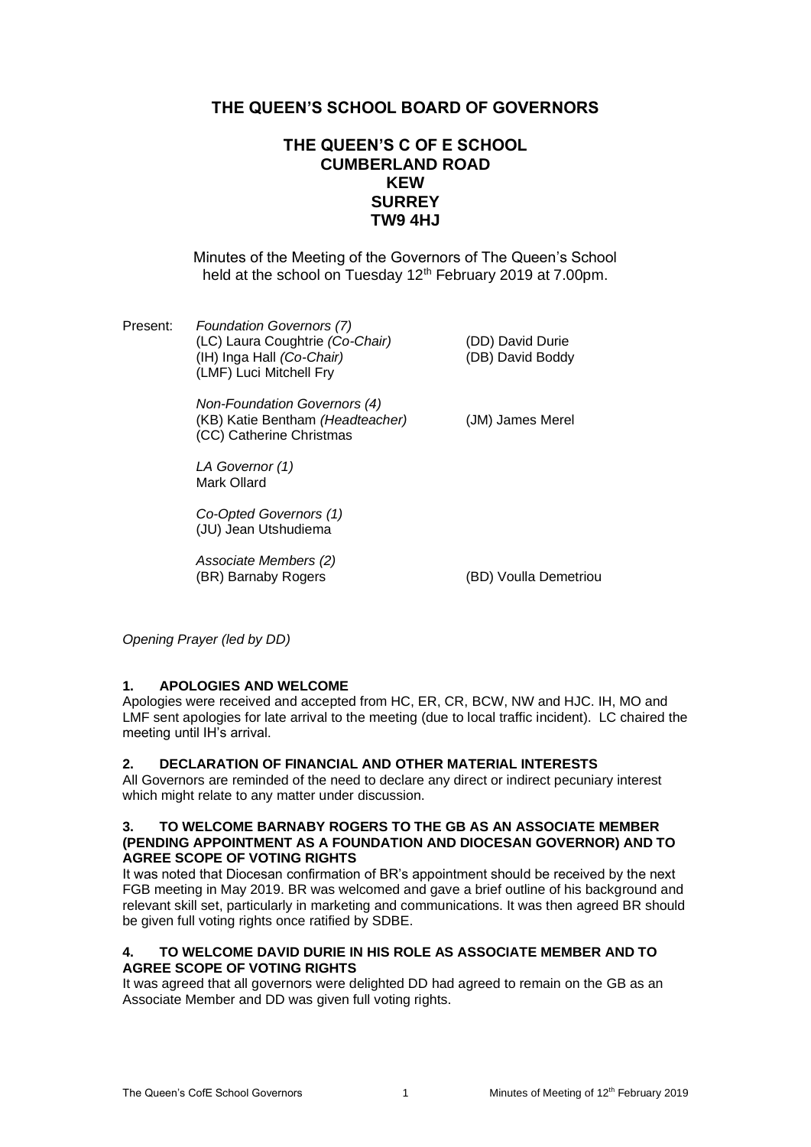# **THE QUEEN'S SCHOOL BOARD OF GOVERNORS**

# **THE QUEEN'S C OF E SCHOOL CUMBERLAND ROAD KEW SURREY TW9 4HJ**

Minutes of the Meeting of the Governors of The Queen's School held at the school on Tuesday 12<sup>th</sup> February 2019 at 7.00pm.

Present: *Foundation Governors (7)* (LC) Laura Coughtrie *(Co-Chair)* (DD) David Durie (IH) Inga Hall *(Co-Chair)* (DB) David Boddy (LMF) Luci Mitchell Fry

> *Non-Foundation Governors (4)* (KB) Katie Bentham *(Headteacher)* (JM) James Merel (CC) Catherine Christmas

*LA Governor (1)* Mark Ollard

*Co-Opted Governors (1)* (JU) Jean Utshudiema

*Associate Members (2)* (BR) Barnaby Rogers (BD) Voulla Demetriou

*Opening Prayer (led by DD)*

# **1. APOLOGIES AND WELCOME**

Apologies were received and accepted from HC, ER, CR, BCW, NW and HJC. IH, MO and LMF sent apologies for late arrival to the meeting (due to local traffic incident). LC chaired the meeting until IH's arrival.

#### **2. DECLARATION OF FINANCIAL AND OTHER MATERIAL INTERESTS**

All Governors are reminded of the need to declare any direct or indirect pecuniary interest which might relate to any matter under discussion.

#### **3. TO WELCOME BARNABY ROGERS TO THE GB AS AN ASSOCIATE MEMBER (PENDING APPOINTMENT AS A FOUNDATION AND DIOCESAN GOVERNOR) AND TO AGREE SCOPE OF VOTING RIGHTS**

It was noted that Diocesan confirmation of BR's appointment should be received by the next FGB meeting in May 2019. BR was welcomed and gave a brief outline of his background and relevant skill set, particularly in marketing and communications. It was then agreed BR should be given full voting rights once ratified by SDBE.

### **4. TO WELCOME DAVID DURIE IN HIS ROLE AS ASSOCIATE MEMBER AND TO AGREE SCOPE OF VOTING RIGHTS**

It was agreed that all governors were delighted DD had agreed to remain on the GB as an Associate Member and DD was given full voting rights.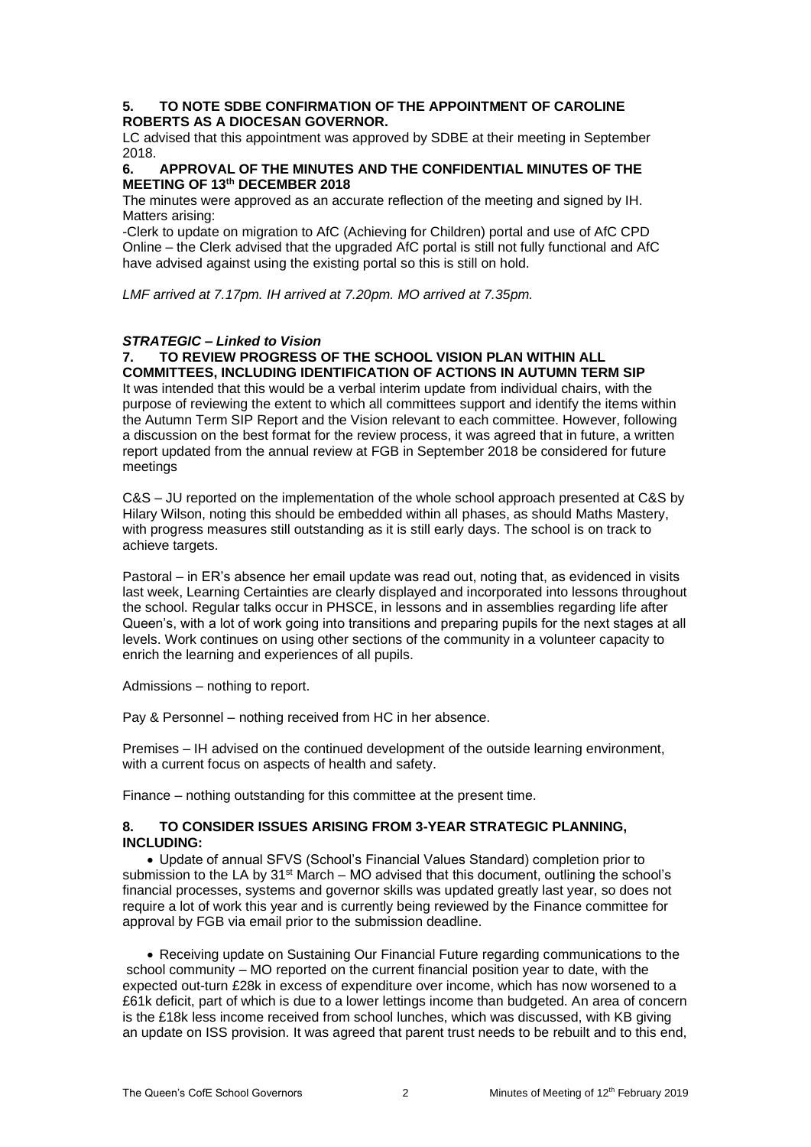#### **5. TO NOTE SDBE CONFIRMATION OF THE APPOINTMENT OF CAROLINE ROBERTS AS A DIOCESAN GOVERNOR.**

LC advised that this appointment was approved by SDBE at their meeting in September 2018.

#### **6. APPROVAL OF THE MINUTES AND THE CONFIDENTIAL MINUTES OF THE MEETING OF 13th DECEMBER 2018**

The minutes were approved as an accurate reflection of the meeting and signed by IH. Matters arising:

-Clerk to update on migration to AfC (Achieving for Children) portal and use of AfC CPD Online – the Clerk advised that the upgraded AfC portal is still not fully functional and AfC have advised against using the existing portal so this is still on hold.

*LMF arrived at 7.17pm. IH arrived at 7.20pm. MO arrived at 7.35pm.* 

### *STRATEGIC – Linked to Vision*

#### **7. TO REVIEW PROGRESS OF THE SCHOOL VISION PLAN WITHIN ALL COMMITTEES, INCLUDING IDENTIFICATION OF ACTIONS IN AUTUMN TERM SIP**

It was intended that this would be a verbal interim update from individual chairs, with the purpose of reviewing the extent to which all committees support and identify the items within the Autumn Term SIP Report and the Vision relevant to each committee. However, following a discussion on the best format for the review process, it was agreed that in future, a written report updated from the annual review at FGB in September 2018 be considered for future meetings

C&S – JU reported on the implementation of the whole school approach presented at C&S by Hilary Wilson, noting this should be embedded within all phases, as should Maths Mastery, with progress measures still outstanding as it is still early days. The school is on track to achieve targets.

Pastoral – in ER's absence her email update was read out, noting that, as evidenced in visits last week, Learning Certainties are clearly displayed and incorporated into lessons throughout the school. Regular talks occur in PHSCE, in lessons and in assemblies regarding life after Queen's, with a lot of work going into transitions and preparing pupils for the next stages at all levels. Work continues on using other sections of the community in a volunteer capacity to enrich the learning and experiences of all pupils.

Admissions – nothing to report.

Pay & Personnel – nothing received from HC in her absence.

Premises – IH advised on the continued development of the outside learning environment, with a current focus on aspects of health and safety.

Finance – nothing outstanding for this committee at the present time.

### **8. TO CONSIDER ISSUES ARISING FROM 3-YEAR STRATEGIC PLANNING, INCLUDING:**

• Update of annual SFVS (School's Financial Values Standard) completion prior to submission to the LA by  $31<sup>st</sup>$  March – MO advised that this document, outlining the school's financial processes, systems and governor skills was updated greatly last year, so does not require a lot of work this year and is currently being reviewed by the Finance committee for approval by FGB via email prior to the submission deadline.

• Receiving update on Sustaining Our Financial Future regarding communications to the school community – MO reported on the current financial position year to date, with the expected out-turn £28k in excess of expenditure over income, which has now worsened to a £61k deficit, part of which is due to a lower lettings income than budgeted. An area of concern is the £18k less income received from school lunches, which was discussed, with KB giving an update on ISS provision. It was agreed that parent trust needs to be rebuilt and to this end,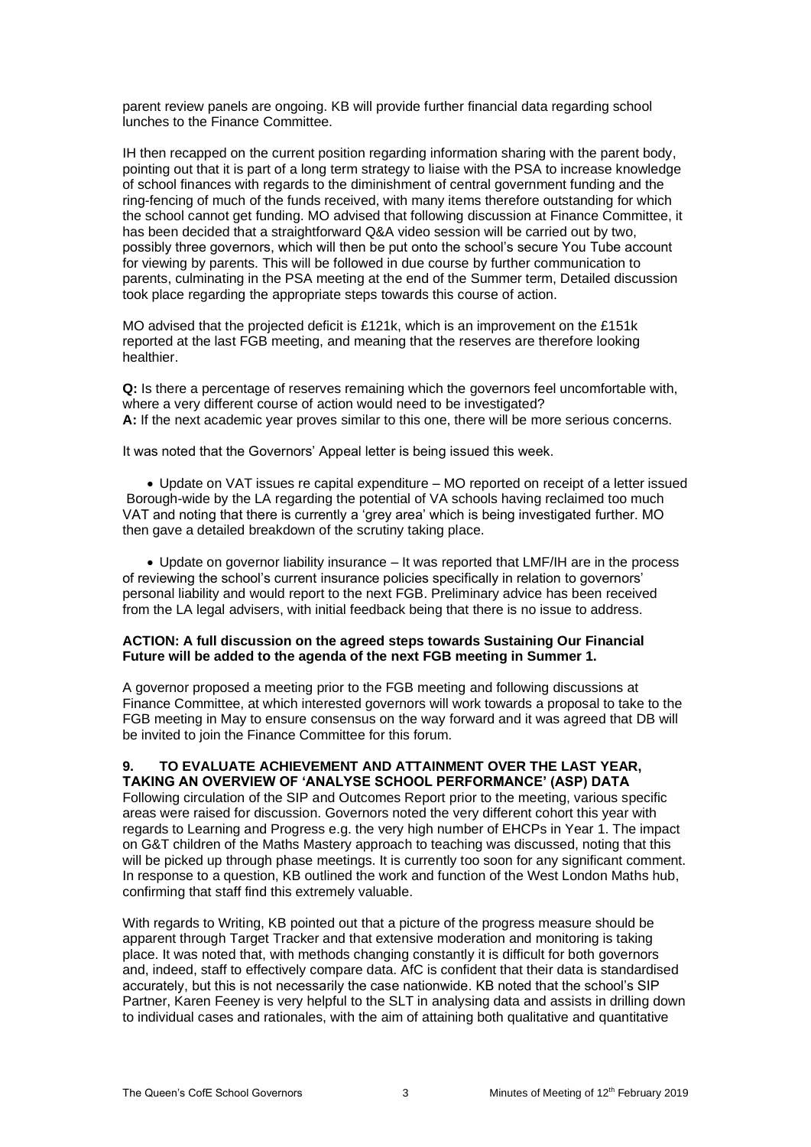parent review panels are ongoing. KB will provide further financial data regarding school lunches to the Finance Committee.

IH then recapped on the current position regarding information sharing with the parent body, pointing out that it is part of a long term strategy to liaise with the PSA to increase knowledge of school finances with regards to the diminishment of central government funding and the ring-fencing of much of the funds received, with many items therefore outstanding for which the school cannot get funding. MO advised that following discussion at Finance Committee, it has been decided that a straightforward Q&A video session will be carried out by two, possibly three governors, which will then be put onto the school's secure You Tube account for viewing by parents. This will be followed in due course by further communication to parents, culminating in the PSA meeting at the end of the Summer term, Detailed discussion took place regarding the appropriate steps towards this course of action.

MO advised that the projected deficit is £121k, which is an improvement on the £151k reported at the last FGB meeting, and meaning that the reserves are therefore looking healthier.

**Q:** Is there a percentage of reserves remaining which the governors feel uncomfortable with, where a very different course of action would need to be investigated? **A:** If the next academic year proves similar to this one, there will be more serious concerns.

It was noted that the Governors' Appeal letter is being issued this week.

• Update on VAT issues re capital expenditure – MO reported on receipt of a letter issued Borough-wide by the LA regarding the potential of VA schools having reclaimed too much VAT and noting that there is currently a 'grey area' which is being investigated further. MO then gave a detailed breakdown of the scrutiny taking place.

• Update on governor liability insurance – It was reported that LMF/IH are in the process of reviewing the school's current insurance policies specifically in relation to governors' personal liability and would report to the next FGB. Preliminary advice has been received from the LA legal advisers, with initial feedback being that there is no issue to address.

#### **ACTION: A full discussion on the agreed steps towards Sustaining Our Financial Future will be added to the agenda of the next FGB meeting in Summer 1.**

A governor proposed a meeting prior to the FGB meeting and following discussions at Finance Committee, at which interested governors will work towards a proposal to take to the FGB meeting in May to ensure consensus on the way forward and it was agreed that DB will be invited to join the Finance Committee for this forum.

#### **9. TO EVALUATE ACHIEVEMENT AND ATTAINMENT OVER THE LAST YEAR, TAKING AN OVERVIEW OF 'ANALYSE SCHOOL PERFORMANCE' (ASP) DATA**

Following circulation of the SIP and Outcomes Report prior to the meeting, various specific areas were raised for discussion. Governors noted the very different cohort this year with regards to Learning and Progress e.g. the very high number of EHCPs in Year 1. The impact on G&T children of the Maths Mastery approach to teaching was discussed, noting that this will be picked up through phase meetings. It is currently too soon for any significant comment. In response to a question, KB outlined the work and function of the West London Maths hub, confirming that staff find this extremely valuable.

With regards to Writing, KB pointed out that a picture of the progress measure should be apparent through Target Tracker and that extensive moderation and monitoring is taking place. It was noted that, with methods changing constantly it is difficult for both governors and, indeed, staff to effectively compare data. AfC is confident that their data is standardised accurately, but this is not necessarily the case nationwide. KB noted that the school's SIP Partner, Karen Feeney is very helpful to the SLT in analysing data and assists in drilling down to individual cases and rationales, with the aim of attaining both qualitative and quantitative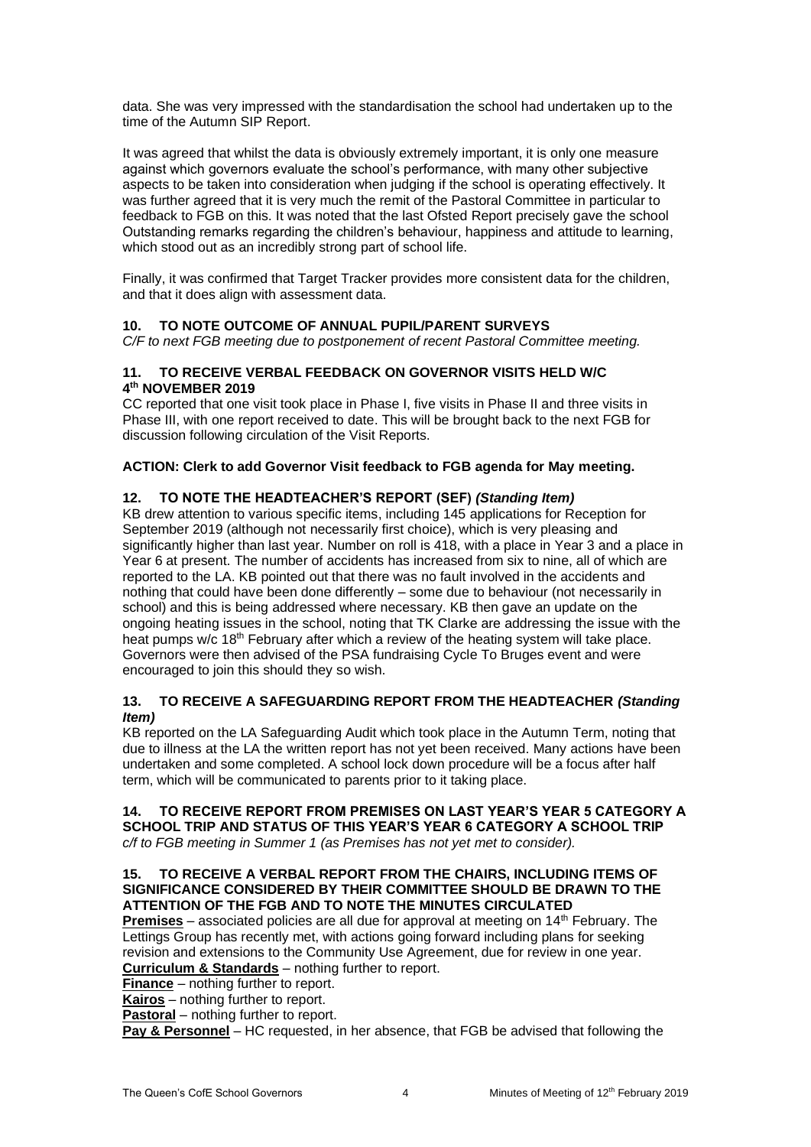data. She was very impressed with the standardisation the school had undertaken up to the time of the Autumn SIP Report.

It was agreed that whilst the data is obviously extremely important, it is only one measure against which governors evaluate the school's performance, with many other subjective aspects to be taken into consideration when judging if the school is operating effectively. It was further agreed that it is very much the remit of the Pastoral Committee in particular to feedback to FGB on this. It was noted that the last Ofsted Report precisely gave the school Outstanding remarks regarding the children's behaviour, happiness and attitude to learning, which stood out as an incredibly strong part of school life.

Finally, it was confirmed that Target Tracker provides more consistent data for the children, and that it does align with assessment data.

# **10. TO NOTE OUTCOME OF ANNUAL PUPIL/PARENT SURVEYS**

*C/F to next FGB meeting due to postponement of recent Pastoral Committee meeting.*

### **11. TO RECEIVE VERBAL FEEDBACK ON GOVERNOR VISITS HELD W/C 4 th NOVEMBER 2019**

CC reported that one visit took place in Phase I, five visits in Phase II and three visits in Phase III, with one report received to date. This will be brought back to the next FGB for discussion following circulation of the Visit Reports.

# **ACTION: Clerk to add Governor Visit feedback to FGB agenda for May meeting.**

# **12. TO NOTE THE HEADTEACHER'S REPORT (SEF)** *(Standing Item)*

KB drew attention to various specific items, including 145 applications for Reception for September 2019 (although not necessarily first choice), which is very pleasing and significantly higher than last year. Number on roll is 418, with a place in Year 3 and a place in Year 6 at present. The number of accidents has increased from six to nine, all of which are reported to the LA. KB pointed out that there was no fault involved in the accidents and nothing that could have been done differently – some due to behaviour (not necessarily in school) and this is being addressed where necessary. KB then gave an update on the ongoing heating issues in the school, noting that TK Clarke are addressing the issue with the heat pumps w/c  $18<sup>th</sup>$  February after which a review of the heating system will take place. Governors were then advised of the PSA fundraising Cycle To Bruges event and were encouraged to join this should they so wish.

# **13. TO RECEIVE A SAFEGUARDING REPORT FROM THE HEADTEACHER** *(Standing Item)*

KB reported on the LA Safeguarding Audit which took place in the Autumn Term, noting that due to illness at the LA the written report has not yet been received. Many actions have been undertaken and some completed. A school lock down procedure will be a focus after half term, which will be communicated to parents prior to it taking place.

#### **14. TO RECEIVE REPORT FROM PREMISES ON LAST YEAR'S YEAR 5 CATEGORY A SCHOOL TRIP AND STATUS OF THIS YEAR'S YEAR 6 CATEGORY A SCHOOL TRIP** *c/f to FGB meeting in Summer 1 (as Premises has not yet met to consider).*

# **15. TO RECEIVE A VERBAL REPORT FROM THE CHAIRS, INCLUDING ITEMS OF SIGNIFICANCE CONSIDERED BY THEIR COMMITTEE SHOULD BE DRAWN TO THE ATTENTION OF THE FGB AND TO NOTE THE MINUTES CIRCULATED**

**Premises** – associated policies are all due for approval at meeting on 14<sup>th</sup> February. The Lettings Group has recently met, with actions going forward including plans for seeking revision and extensions to the Community Use Agreement, due for review in one year. **Curriculum & Standards** – nothing further to report.

**Finance** – nothing further to report.

**Kairos** – nothing further to report.

**Pastoral** – nothing further to report.

**Pay & Personnel** – HC requested, in her absence, that FGB be advised that following the